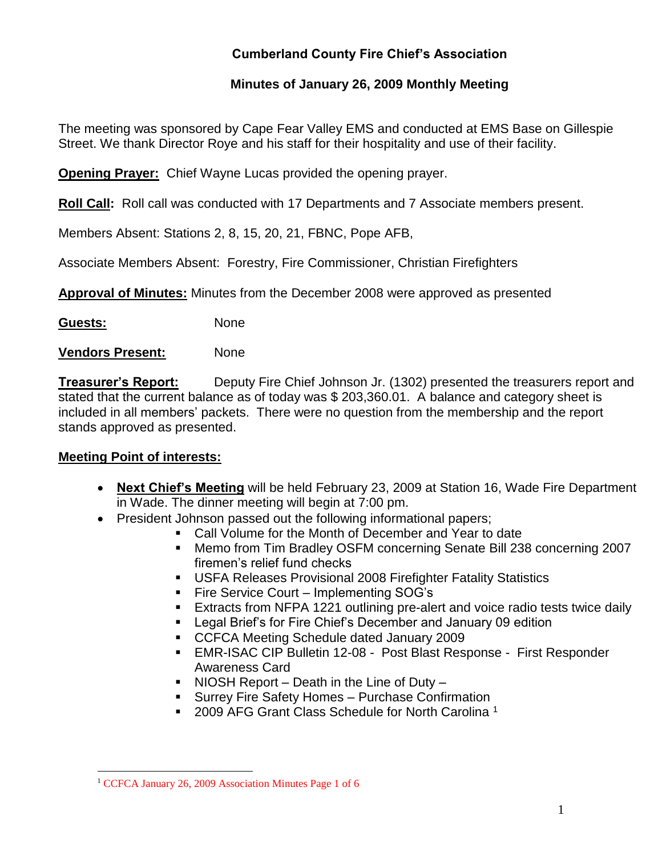## **Cumberland County Fire Chief's Association**

### **Minutes of January 26, 2009 Monthly Meeting**

The meeting was sponsored by Cape Fear Valley EMS and conducted at EMS Base on Gillespie Street. We thank Director Roye and his staff for their hospitality and use of their facility.

**Opening Prayer:** Chief Wayne Lucas provided the opening prayer.

**Roll Call:** Roll call was conducted with 17 Departments and 7 Associate members present.

Members Absent: Stations 2, 8, 15, 20, 21, FBNC, Pope AFB,

Associate Members Absent: Forestry, Fire Commissioner, Christian Firefighters

**Approval of Minutes:** Minutes from the December 2008 were approved as presented

**Guests:** None

**Vendors Present:** None

**Treasurer's Report:** Deputy Fire Chief Johnson Jr. (1302) presented the treasurers report and stated that the current balance as of today was \$ 203,360.01. A balance and category sheet is included in all members' packets. There were no question from the membership and the report stands approved as presented.

#### **Meeting Point of interests:**

- **Next Chief's Meeting** will be held February 23, 2009 at Station 16, Wade Fire Department in Wade. The dinner meeting will begin at 7:00 pm.
- President Johnson passed out the following informational papers:
	- Call Volume for the Month of December and Year to date
	- Memo from Tim Bradley OSFM concerning Senate Bill 238 concerning 2007 firemen's relief fund checks
	- USFA Releases Provisional 2008 Firefighter Fatality Statistics
	- Fire Service Court Implementing SOG's
	- Extracts from NFPA 1221 outlining pre-alert and voice radio tests twice daily
	- Legal Brief's for Fire Chief's December and January 09 edition
	- CCFCA Meeting Schedule dated January 2009
	- EMR-ISAC CIP Bulletin 12-08 Post Blast Response First Responder Awareness Card
	- $\blacksquare$  NIOSH Report Death in the Line of Duty –
	- **Surrey Fire Safety Homes Purchase Confirmation**
	- 2009 AFG Grant Class Schedule for North Carolina<sup>1</sup>

 $\overline{a}$ <sup>1</sup> CCFCA January 26, 2009 Association Minutes Page 1 of 6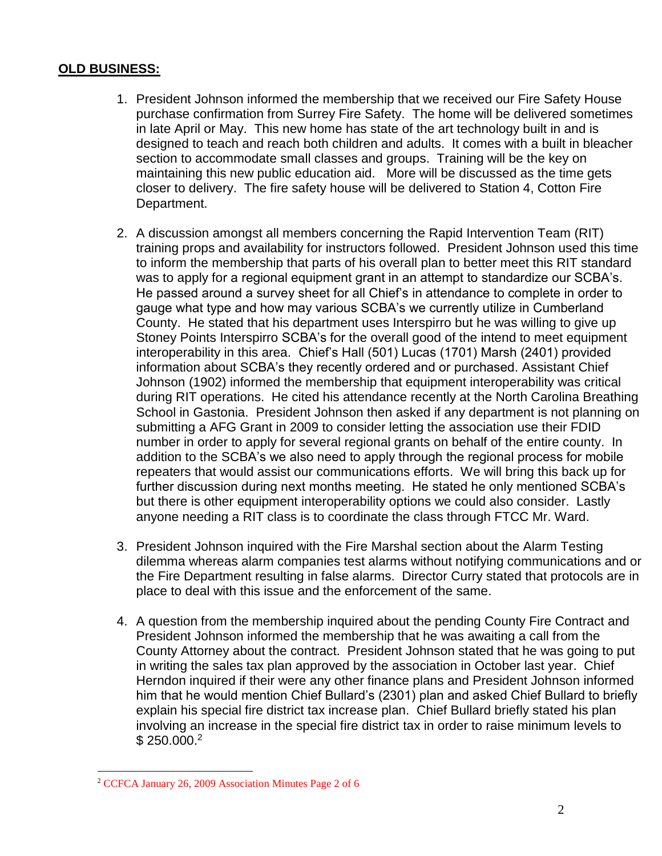#### **OLD BUSINESS:**

- 1. President Johnson informed the membership that we received our Fire Safety House purchase confirmation from Surrey Fire Safety. The home will be delivered sometimes in late April or May. This new home has state of the art technology built in and is designed to teach and reach both children and adults. It comes with a built in bleacher section to accommodate small classes and groups. Training will be the key on maintaining this new public education aid. More will be discussed as the time gets closer to delivery. The fire safety house will be delivered to Station 4, Cotton Fire Department.
- 2. A discussion amongst all members concerning the Rapid Intervention Team (RIT) training props and availability for instructors followed. President Johnson used this time to inform the membership that parts of his overall plan to better meet this RIT standard was to apply for a regional equipment grant in an attempt to standardize our SCBA's. He passed around a survey sheet for all Chief's in attendance to complete in order to gauge what type and how may various SCBA's we currently utilize in Cumberland County. He stated that his department uses Interspirro but he was willing to give up Stoney Points Interspirro SCBA's for the overall good of the intend to meet equipment interoperability in this area. Chief's Hall (501) Lucas (1701) Marsh (2401) provided information about SCBA's they recently ordered and or purchased. Assistant Chief Johnson (1902) informed the membership that equipment interoperability was critical during RIT operations. He cited his attendance recently at the North Carolina Breathing School in Gastonia. President Johnson then asked if any department is not planning on submitting a AFG Grant in 2009 to consider letting the association use their FDID number in order to apply for several regional grants on behalf of the entire county. In addition to the SCBA's we also need to apply through the regional process for mobile repeaters that would assist our communications efforts. We will bring this back up for further discussion during next months meeting. He stated he only mentioned SCBA's but there is other equipment interoperability options we could also consider. Lastly anyone needing a RIT class is to coordinate the class through FTCC Mr. Ward.
- 3. President Johnson inquired with the Fire Marshal section about the Alarm Testing dilemma whereas alarm companies test alarms without notifying communications and or the Fire Department resulting in false alarms. Director Curry stated that protocols are in place to deal with this issue and the enforcement of the same.
- 4. A question from the membership inquired about the pending County Fire Contract and President Johnson informed the membership that he was awaiting a call from the County Attorney about the contract. President Johnson stated that he was going to put in writing the sales tax plan approved by the association in October last year. Chief Herndon inquired if their were any other finance plans and President Johnson informed him that he would mention Chief Bullard's (2301) plan and asked Chief Bullard to briefly explain his special fire district tax increase plan. Chief Bullard briefly stated his plan involving an increase in the special fire district tax in order to raise minimum levels to \$250,000.<sup>2</sup>

<sup>2</sup> CCFCA January 26, 2009 Association Minutes Page 2 of 6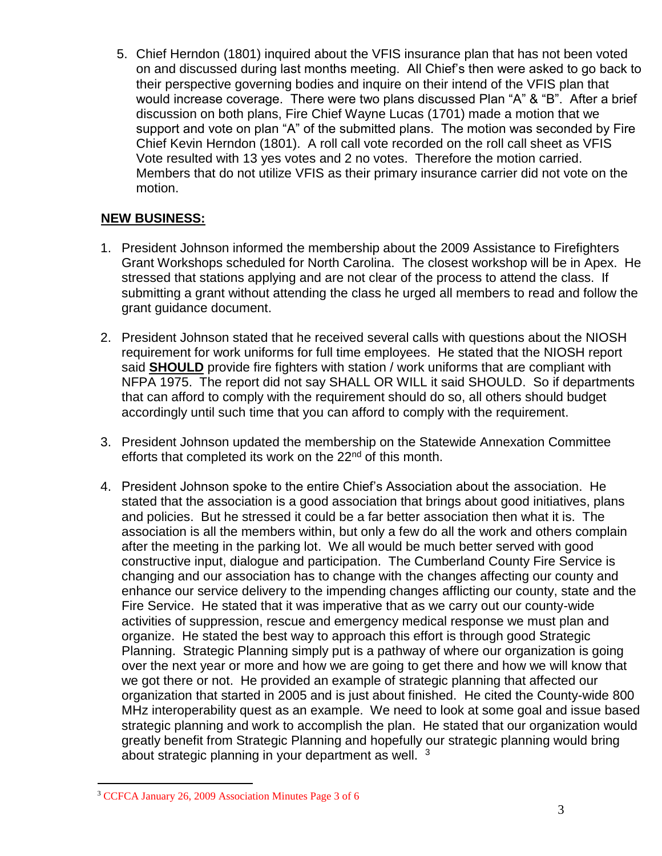5. Chief Herndon (1801) inquired about the VFIS insurance plan that has not been voted on and discussed during last months meeting. All Chief's then were asked to go back to their perspective governing bodies and inquire on their intend of the VFIS plan that would increase coverage. There were two plans discussed Plan "A" & "B". After a brief discussion on both plans, Fire Chief Wayne Lucas (1701) made a motion that we support and vote on plan "A" of the submitted plans. The motion was seconded by Fire Chief Kevin Herndon (1801). A roll call vote recorded on the roll call sheet as VFIS Vote resulted with 13 yes votes and 2 no votes. Therefore the motion carried. Members that do not utilize VFIS as their primary insurance carrier did not vote on the motion.

### **NEW BUSINESS:**

- 1. President Johnson informed the membership about the 2009 Assistance to Firefighters Grant Workshops scheduled for North Carolina. The closest workshop will be in Apex. He stressed that stations applying and are not clear of the process to attend the class. If submitting a grant without attending the class he urged all members to read and follow the grant guidance document.
- 2. President Johnson stated that he received several calls with questions about the NIOSH requirement for work uniforms for full time employees. He stated that the NIOSH report said **SHOULD** provide fire fighters with station / work uniforms that are compliant with NFPA 1975. The report did not say SHALL OR WILL it said SHOULD. So if departments that can afford to comply with the requirement should do so, all others should budget accordingly until such time that you can afford to comply with the requirement.
- 3. President Johnson updated the membership on the Statewide Annexation Committee efforts that completed its work on the 22<sup>nd</sup> of this month.
- 4. President Johnson spoke to the entire Chief's Association about the association. He stated that the association is a good association that brings about good initiatives, plans and policies. But he stressed it could be a far better association then what it is. The association is all the members within, but only a few do all the work and others complain after the meeting in the parking lot. We all would be much better served with good constructive input, dialogue and participation. The Cumberland County Fire Service is changing and our association has to change with the changes affecting our county and enhance our service delivery to the impending changes afflicting our county, state and the Fire Service. He stated that it was imperative that as we carry out our county-wide activities of suppression, rescue and emergency medical response we must plan and organize. He stated the best way to approach this effort is through good Strategic Planning. Strategic Planning simply put is a pathway of where our organization is going over the next year or more and how we are going to get there and how we will know that we got there or not. He provided an example of strategic planning that affected our organization that started in 2005 and is just about finished. He cited the County-wide 800 MHz interoperability quest as an example. We need to look at some goal and issue based strategic planning and work to accomplish the plan. He stated that our organization would greatly benefit from Strategic Planning and hopefully our strategic planning would bring about strategic planning in your department as well. <sup>3</sup>

<sup>3</sup> CCFCA January 26, 2009 Association Minutes Page 3 of 6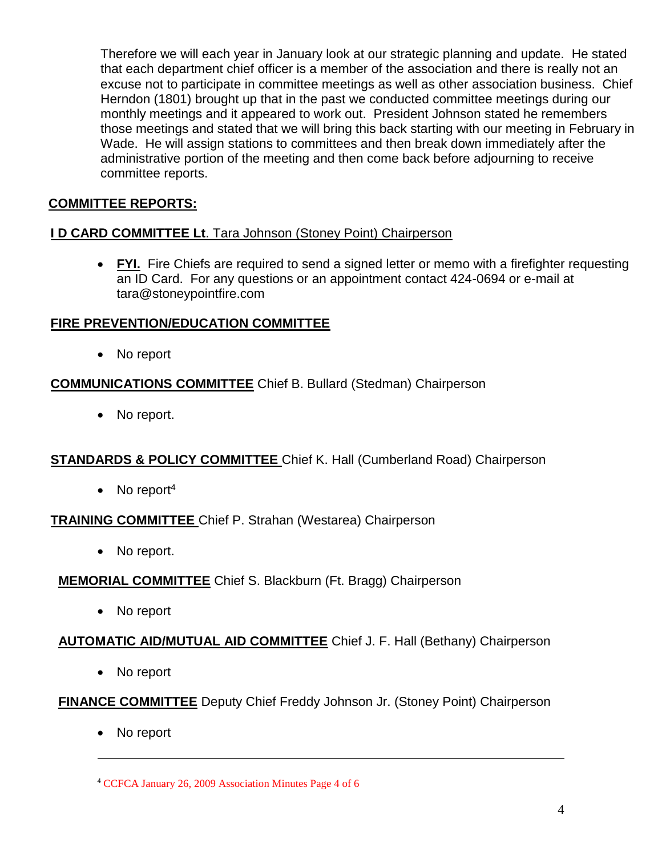Therefore we will each year in January look at our strategic planning and update. He stated that each department chief officer is a member of the association and there is really not an excuse not to participate in committee meetings as well as other association business. Chief Herndon (1801) brought up that in the past we conducted committee meetings during our monthly meetings and it appeared to work out. President Johnson stated he remembers those meetings and stated that we will bring this back starting with our meeting in February in Wade. He will assign stations to committees and then break down immediately after the administrative portion of the meeting and then come back before adjourning to receive committee reports.

### **COMMITTEE REPORTS:**

#### **I D CARD COMMITTEE Lt**. Tara Johnson (Stoney Point) Chairperson

 **FYI.** Fire Chiefs are required to send a signed letter or memo with a firefighter requesting an ID Card. For any questions or an appointment contact 424-0694 or e-mail at [tara@stoneypointfire.com](mailto:tara@stoneypointfire.com)

#### **FIRE PREVENTION/EDUCATION COMMITTEE**

• No report

### **COMMUNICATIONS COMMITTEE** Chief B. Bullard (Stedman) Chairperson

• No report.

## **STANDARDS & POLICY COMMITTEE** Chief K. Hall (Cumberland Road) Chairperson

 $\bullet$  No report<sup>4</sup>

#### **TRAINING COMMITTEE** Chief P. Strahan (Westarea) Chairperson

• No report.

#### **MEMORIAL COMMITTEE** Chief S. Blackburn (Ft. Bragg) Chairperson

• No report

#### **AUTOMATIC AID/MUTUAL AID COMMITTEE** Chief J. F. Hall (Bethany) Chairperson

• No report

#### **FINANCE COMMITTEE** Deputy Chief Freddy Johnson Jr. (Stoney Point) Chairperson

• No report

<sup>4</sup> CCFCA January 26, 2009 Association Minutes Page 4 of 6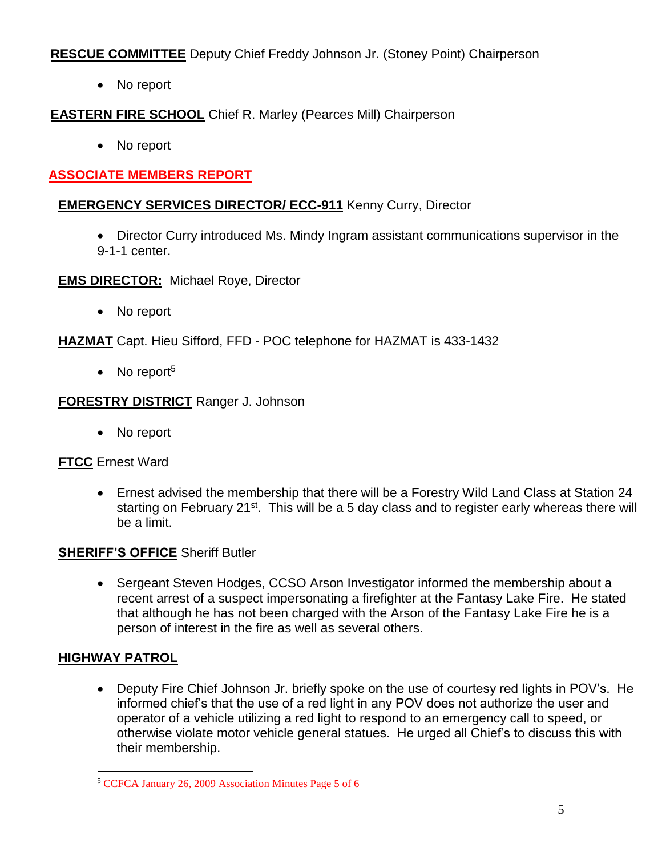**RESCUE COMMITTEE** Deputy Chief Freddy Johnson Jr. (Stoney Point) Chairperson

• No report

# **EASTERN FIRE SCHOOL** Chief R. Marley (Pearces Mill) Chairperson

• No report

# **ASSOCIATE MEMBERS REPORT**

## **EMERGENCY SERVICES DIRECTOR/ ECC-911** Kenny Curry, Director

- Director Curry introduced Ms. Mindy Ingram assistant communications supervisor in the 9-1-1 center.
- **EMS DIRECTOR:** Michael Roye, Director
	- No report

**HAZMAT** Capt. Hieu Sifford, FFD - POC telephone for HAZMAT is 433-1432

 $\bullet$  No report<sup>5</sup>

### **FORESTRY DISTRICT** Ranger J. Johnson

• No report

## **FTCC** Ernest Ward

 Ernest advised the membership that there will be a Forestry Wild Land Class at Station 24 starting on February 21<sup>st</sup>. This will be a 5 day class and to register early whereas there will be a limit.

## **SHERIFF'S OFFICE** Sheriff Butler

• Sergeant Steven Hodges, CCSO Arson Investigator informed the membership about a recent arrest of a suspect impersonating a firefighter at the Fantasy Lake Fire. He stated that although he has not been charged with the Arson of the Fantasy Lake Fire he is a person of interest in the fire as well as several others.

## **HIGHWAY PATROL**

 Deputy Fire Chief Johnson Jr. briefly spoke on the use of courtesy red lights in POV's. He informed chief's that the use of a red light in any POV does not authorize the user and operator of a vehicle utilizing a red light to respond to an emergency call to speed, or otherwise violate motor vehicle general statues. He urged all Chief's to discuss this with their membership.

 $\overline{a}$ <sup>5</sup> CCFCA January 26, 2009 Association Minutes Page 5 of 6